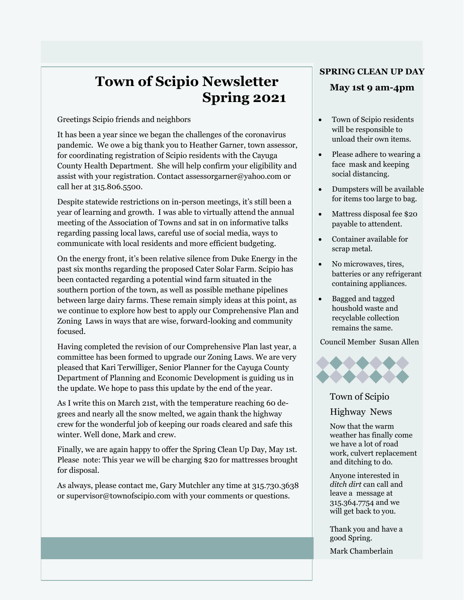# **Town of Scipio Newsletter Spring 2021**

Greetings Scipio friends and neighbors

It has been a year since we began the challenges of the coronavirus pandemic. We owe a big thank you to Heather Garner, town assessor, for coordinating registration of Scipio residents with the Cayuga County Health Department. She will help confirm your eligibility and assist with your registration. Contact assessorgarner@yahoo.com or call her at 315.806.5500.

Despite statewide restrictions on in-person meetings, it's still been a year of learning and growth. I was able to virtually attend the annual meeting of the Association of Towns and sat in on informative talks regarding passing local laws, careful use of social media, ways to communicate with local residents and more efficient budgeting.

On the energy front, it's been relative silence from Duke Energy in the past six months regarding the proposed Cater Solar Farm. Scipio has been contacted regarding a potential wind farm situated in the southern portion of the town, as well as possible methane pipelines between large dairy farms. These remain simply ideas at this point, as we continue to explore how best to apply our Comprehensive Plan and Zoning Laws in ways that are wise, forward-looking and community focused.

Having completed the revision of our Comprehensive Plan last year, a committee has been formed to upgrade our Zoning Laws. We are very pleased that Kari Terwilliger, Senior Planner for the Cayuga County Department of Planning and Economic Development is guiding us in the update. We hope to pass this update by the end of the year.

As I write this on March 21st, with the temperature reaching 60 degrees and nearly all the snow melted, we again thank the highway crew for the wonderful job of keeping our roads cleared and safe this winter. Well done, Mark and crew.

Finally, we are again happy to offer the Spring Clean Up Day, May 1st. Please note: This year we will be charging \$20 for mattresses brought for disposal.

As always, please contact me, Gary Mutchler any time at 315.730.3638 or supervisor@townofscipio.com with your comments or questions.

#### **SPRING CLEAN UP DAY**

#### **May 1st 9 am-4pm**

- Town of Scipio residents will be responsible to unload their own items.
- Please adhere to wearing a face mask and keeping social distancing.
- Dumpsters will be available for items too large to bag.
- Mattress disposal fee \$20 payable to attendent.
- Container available for scrap metal.
- No microwaves, tires, batteries or any refrigerant containing appliances.
- Bagged and tagged houshold waste and recyclable collection remains the same.

Council Member Susan Allen



#### Town of Scipio

Highway News

Now that the warm weather has finally come we have a lot of road work, culvert replacement and ditching to do.

Anyone interested in *ditch dirt* can call and leave a message at 315.364.7754 and we will get back to you.

Thank you and have a good Spring.

Mark Chamberlain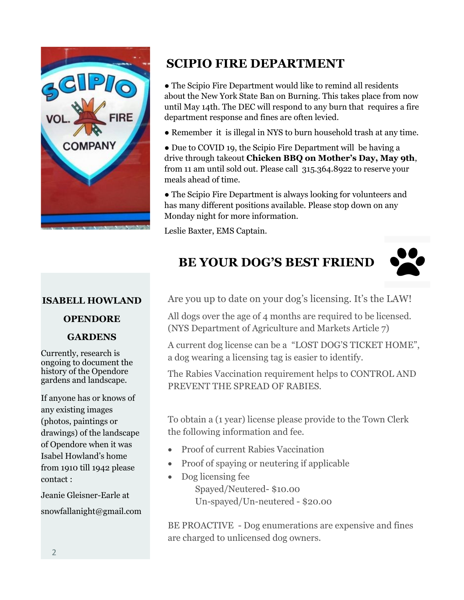

# **SCIPIO FIRE DEPARTMENT**

● The Scipio Fire Department would like to remind all residents about the New York State Ban on Burning. This takes place from now until May 14th. The DEC will respond to any burn that requires a fire department response and fines are often levied.

- Remember it is illegal in NYS to burn household trash at any time.
- Due to COVID 19, the Scipio Fire Department will be having a drive through takeout **Chicken BBQ on Mother's Day, May 9th**, from 11 am until sold out. Please call 315.364.8922 to reserve your meals ahead of time.

● The Scipio Fire Department is always looking for volunteers and has many different positions available. Please stop down on any Monday night for more information.

Leslie Baxter, EMS Captain.

# **BE YOUR DOG'S BEST FRIEND**



#### **ISABELL HOWLAND**

#### **OPENDORE**

### **GARDENS**

Currently, research is ongoing to document the history of the Opendore gardens and landscape.

If anyone has or knows of any existing images (photos, paintings or drawings) of the landscape of Opendore when it was Isabel Howland's home from 1910 till 1942 please contact :

Jeanie Gleisner-Earle at snowfallanight@gmail.com Are you up to date on your dog's licensing. It's the LAW!

All dogs over the age of 4 months are required to be licensed. (NYS Department of Agriculture and Markets Article 7)

A current dog license can be a "LOST DOG'S TICKET HOME", a dog wearing a licensing tag is easier to identify.

The Rabies Vaccination requirement helps to CONTROL AND PREVENT THE SPREAD OF RABIES.

To obtain a (1 year) license please provide to the Town Clerk the following information and fee.

- Proof of current Rabies Vaccination
- Proof of spaying or neutering if applicable
- Dog licensing fee Spayed/Neutered- \$10.00 Un-spayed/Un-neutered - \$20.00

BE PROACTIVE - Dog enumerations are expensive and fines are charged to unlicensed dog owners.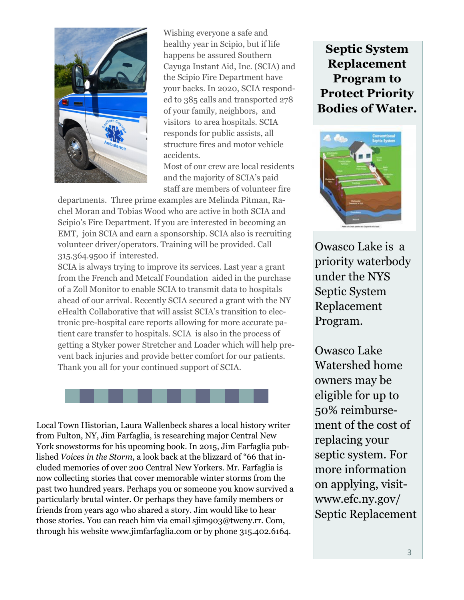

Wishing everyone a safe and healthy year in Scipio, but if life happens be assured Southern Cayuga Instant Aid, Inc. (SCIA) and the Scipio Fire Department have your backs. In 2020, SCIA responded to 385 calls and transported 278 of your family, neighbors, and visitors to area hospitals. SCIA responds for public assists, all structure fires and motor vehicle accidents.

Most of our crew are local residents and the majority of SCIA's paid staff are members of volunteer fire

departments. Three prime examples are Melinda Pitman, Rachel Moran and Tobias Wood who are active in both SCIA and Scipio's Fire Department. If you are interested in becoming an EMT, join SCIA and earn a sponsorship. SCIA also is recruiting volunteer driver/operators. Training will be provided. Call 315.364.9500 if interested.

SCIA is always trying to improve its services. Last year a grant from the French and Metcalf Foundation aided in the purchase of a Zoll Monitor to enable SCIA to transmit data to hospitals ahead of our arrival. Recently SCIA secured a grant with the NY eHealth Collaborative that will assist SCIA's transition to electronic pre-hospital care reports allowing for more accurate patient care transfer to hospitals. SCIA is also in the process of getting a Styker power Stretcher and Loader which will help prevent back injuries and provide better comfort for our patients. Thank you all for your continued support of SCIA.



Local Town Historian, Laura Wallenbeck shares a local history writer from Fulton, NY, Jim Farfaglia, is researching major Central New York snowstorms for his upcoming book. In 2015, Jim Farfaglia published *Voices in the Storm*, a look back at the blizzard of "66 that included memories of over 200 Central New Yorkers. Mr. Farfaglia is now collecting stories that cover memorable winter storms from the past two hundred years. Perhaps you or someone you know survived a particularly brutal winter. Or perhaps they have family members or friends from years ago who shared a story. Jim would like to hear those stories. You can reach him via email sjim903@twcny.rr. Com, through his website www.jimfarfaglia.com or by phone 315.402.6164.

## **Septic System Replacement Program to Protect Priority Bodies of Water.**



Owasco Lake is a priority waterbody under the NYS Septic System Replacement Program.

Owasco Lake Watershed home owners may be eligible for up to 50% reimbursement of the cost of replacing your septic system. For more information on applying, visitwww.efc.ny.gov/ Septic Replacement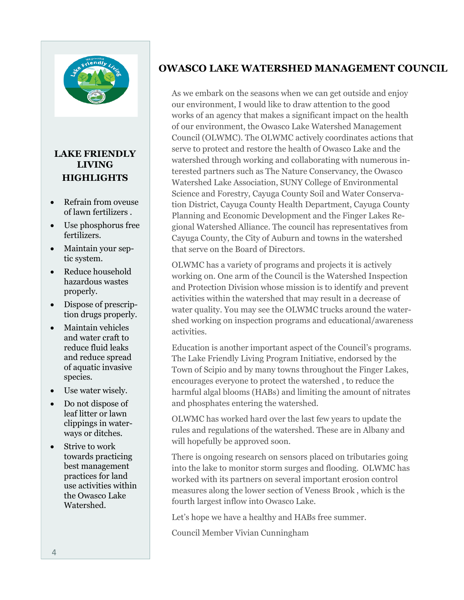

### **LAKE FRIENDLY LIVING HIGHLIGHTS**

- Refrain from oveuse of lawn fertilizers .
- Use phosphorus free fertilizers.
- Maintain your septic system.
- Reduce household hazardous wastes properly.
- Dispose of prescription drugs properly.
- Maintain vehicles and water craft to reduce fluid leaks and reduce spread of aquatic invasive species.
- Use water wisely.
- Do not dispose of leaf litter or lawn clippings in waterways or ditches.
- Strive to work towards practicing best management practices for land use activities within the Owasco Lake Watershed.

### **OWASCO LAKE WATERSHED MANAGEMENT COUNCIL**

As we embark on the seasons when we can get outside and enjoy our environment, I would like to draw attention to the good works of an agency that makes a significant impact on the health of our environment, the Owasco Lake Watershed Management Council (OLWMC). The OLWMC actively coordinates actions that serve to protect and restore the health of Owasco Lake and the watershed through working and collaborating with numerous interested partners such as The Nature Conservancy, the Owasco Watershed Lake Association, SUNY College of Environmental Science and Forestry, Cayuga County Soil and Water Conservation District, Cayuga County Health Department, Cayuga County Planning and Economic Development and the Finger Lakes Regional Watershed Alliance. The council has representatives from Cayuga County, the City of Auburn and towns in the watershed that serve on the Board of Directors.

OLWMC has a variety of programs and projects it is actively working on. One arm of the Council is the Watershed Inspection and Protection Division whose mission is to identify and prevent activities within the watershed that may result in a decrease of water quality. You may see the OLWMC trucks around the watershed working on inspection programs and educational/awareness activities.

Education is another important aspect of the Council's programs. The Lake Friendly Living Program Initiative, endorsed by the Town of Scipio and by many towns throughout the Finger Lakes, encourages everyone to protect the watershed , to reduce the harmful algal blooms (HABs) and limiting the amount of nitrates and phosphates entering the watershed.

OLWMC has worked hard over the last few years to update the rules and regulations of the watershed. These are in Albany and will hopefully be approved soon.

There is ongoing research on sensors placed on tributaries going into the lake to monitor storm surges and flooding. OLWMC has worked with its partners on several important erosion control measures along the lower section of Veness Brook , which is the fourth largest inflow into Owasco Lake.

Let's hope we have a healthy and HABs free summer.

Council Member Vivian Cunningham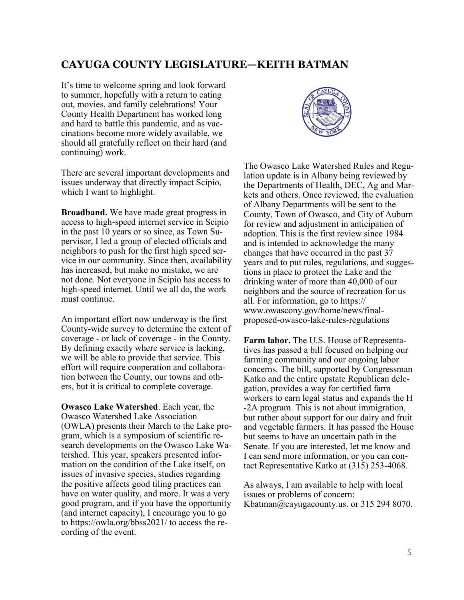#### **CAYUGA COUNTY LEGISLATURE—KEITH BATMAN**

It's time to welcome spring and look forward to summer, hopefully with a return to eating out, movies, and family celebrations! Your County Health Department has worked long and hard to battle this pandemic, and as vaccinations become more widely available, we should all gratefully reflect on their hard (and continuing) work.

There are several important developments and issues underway that directly impact Scipio, which I want to highlight.

**Broadband.** We have made great progress in access to high-speed internet service in Scipio in the past 10 years or so since, as Town Supervisor, I led a group of elected officials and neighbors to push for the first high speed service in our community. Since then, availability has increased, but make no mistake, we are not done. Not everyone in Scipio has access to high-speed internet. Until we all do, the work must continue.

An important effort now underway is the first County-wide survey to determine the extent of coverage - or lack of coverage - in the County. By defining exactly where service is lacking, we will be able to provide that service. This effort will require cooperation and collaboration between the County, our towns and others, but it is critical to complete coverage.

**Owasco Lake Watershed**. Each year, the Owasco Watershed Lake Association (OWLA) presents their March to the Lake program, which is a symposium of scientific research developments on the Owasco Lake Watershed. This year, speakers presented information on the condition of the Lake itself, on issues of invasive species, studies regarding the positive affects good tiling practices can have on water quality, and more. It was a very good program, and if you have the opportunity (and internet capacity), I encourage you to go to https://owla.org/bbss2021/ to access the recording of the event.



The Owasco Lake Watershed Rules and Regulation update is in Albany being reviewed by the Departments of Health, DEC, Ag and Markets and others. Once reviewed, the evaluation of Albany Departments will be sent to the County, Town of Owasco, and City of Auburn for review and adjustment in anticipation of adoption. This is the first review since 1984 and is intended to acknowledge the many changes that have occurred in the past 37 years and to put rules, regulations, and suggestions in place to protect the Lake and the drinking water of more than 40,000 of our neighbors and the source of recreation for us all. For information, go to https:// www.owascony.gov/home/news/finalproposed-owasco-lake-rules-regulations

**Farm labor.** The U.S. House of Representatives has passed a bill focused on helping our farming community and our ongoing labor concerns. The bill, supported by Congressman Katko and the entire upstate Republican delegation, provides a way for certified farm workers to earn legal status and expands the H -2A program. This is not about immigration, but rather about support for our dairy and fruit and vegetable farmers. It has passed the House but seems to have an uncertain path in the Senate. If you are interested, let me know and I can send more information, or you can contact Representative Katko at (315) 253-4068.

As always, I am available to help with local issues or problems of concern: Kbatman@cayugacounty.us. or 315 294 8070.